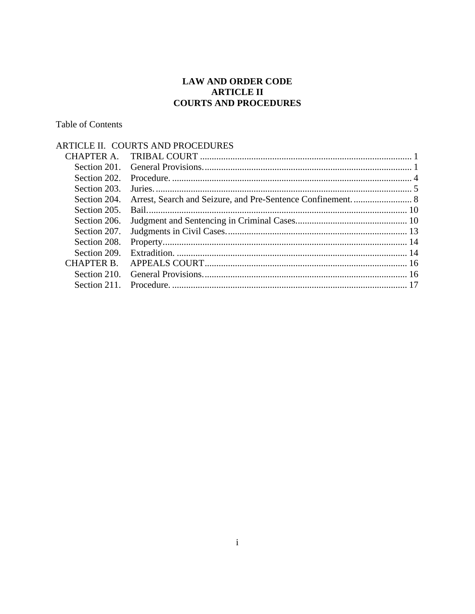### **LAW AND ORDER CODE ARTICLE II COURTS AND PROCEDURES**

## **Table of Contents**

|              | ARTICLE II. COURTS AND PROCEDURES |  |
|--------------|-----------------------------------|--|
| CHAPTER A.   |                                   |  |
| Section 201. |                                   |  |
| Section 202  |                                   |  |
| Section 203. |                                   |  |
| Section 204. |                                   |  |
| Section 205. |                                   |  |
| Section 206. |                                   |  |
| Section 207. |                                   |  |
| Section 208. |                                   |  |
| Section 209. |                                   |  |
| CHAPTER B.   |                                   |  |
| Section 210. |                                   |  |
| Section 211  |                                   |  |
|              |                                   |  |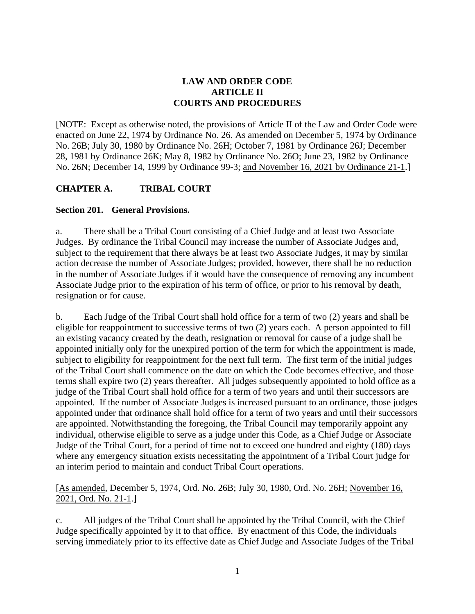## **LAW AND ORDER CODE ARTICLE II COURTS AND PROCEDURES**

[NOTE: Except as otherwise noted, the provisions of Article II of the Law and Order Code were enacted on June 22, 1974 by Ordinance No. 26. As amended on December 5, 1974 by Ordinance No. 26B; July 30, 1980 by Ordinance No. 26H; October 7, 1981 by Ordinance 26J; December 28, 1981 by Ordinance 26K; May 8, 1982 by Ordinance No. 26O; June 23, 1982 by Ordinance No. 26N; December 14, 1999 by Ordinance 99-3; and November 16, 2021 by Ordinance 21-1.]

## **CHAPTER A. TRIBAL COURT**

#### **Section 201. General Provisions.**

a. There shall be a Tribal Court consisting of a Chief Judge and at least two Associate Judges. By ordinance the Tribal Council may increase the number of Associate Judges and, subject to the requirement that there always be at least two Associate Judges, it may by similar action decrease the number of Associate Judges; provided, however, there shall be no reduction in the number of Associate Judges if it would have the consequence of removing any incumbent Associate Judge prior to the expiration of his term of office, or prior to his removal by death, resignation or for cause.

b. Each Judge of the Tribal Court shall hold office for a term of two (2) years and shall be eligible for reappointment to successive terms of two (2) years each. A person appointed to fill an existing vacancy created by the death, resignation or removal for cause of a judge shall be appointed initially only for the unexpired portion of the term for which the appointment is made, subject to eligibility for reappointment for the next full term. The first term of the initial judges of the Tribal Court shall commence on the date on which the Code becomes effective, and those terms shall expire two (2) years thereafter. All judges subsequently appointed to hold office as a judge of the Tribal Court shall hold office for a term of two years and until their successors are appointed. If the number of Associate Judges is increased pursuant to an ordinance, those judges appointed under that ordinance shall hold office for a term of two years and until their successors are appointed. Notwithstanding the foregoing, the Tribal Council may temporarily appoint any individual, otherwise eligible to serve as a judge under this Code, as a Chief Judge or Associate Judge of the Tribal Court, for a period of time not to exceed one hundred and eighty (180) days where any emergency situation exists necessitating the appointment of a Tribal Court judge for an interim period to maintain and conduct Tribal Court operations.

[As amended, December 5, 1974, Ord. No. 26B; July 30, 1980, Ord. No. 26H; November 16, 2021, Ord. No. 21-1.]

c. All judges of the Tribal Court shall be appointed by the Tribal Council, with the Chief Judge specifically appointed by it to that office. By enactment of this Code, the individuals serving immediately prior to its effective date as Chief Judge and Associate Judges of the Tribal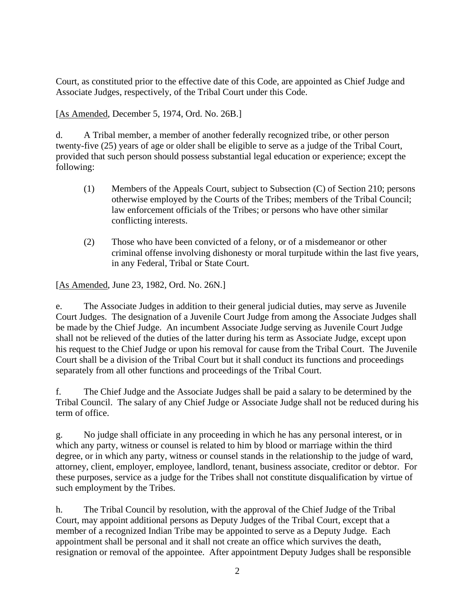Court, as constituted prior to the effective date of this Code, are appointed as Chief Judge and Associate Judges, respectively, of the Tribal Court under this Code.

[As Amended, December 5, 1974, Ord. No. 26B.]

d. A Tribal member, a member of another federally recognized tribe, or other person twenty-five (25) years of age or older shall be eligible to serve as a judge of the Tribal Court, provided that such person should possess substantial legal education or experience; except the following:

- (1) Members of the Appeals Court, subject to Subsection (C) of Section 210; persons otherwise employed by the Courts of the Tribes; members of the Tribal Council; law enforcement officials of the Tribes; or persons who have other similar conflicting interests.
- (2) Those who have been convicted of a felony, or of a misdemeanor or other criminal offense involving dishonesty or moral turpitude within the last five years, in any Federal, Tribal or State Court.

[As Amended, June 23, 1982, Ord. No. 26N.]

e. The Associate Judges in addition to their general judicial duties, may serve as Juvenile Court Judges. The designation of a Juvenile Court Judge from among the Associate Judges shall be made by the Chief Judge. An incumbent Associate Judge serving as Juvenile Court Judge shall not be relieved of the duties of the latter during his term as Associate Judge, except upon his request to the Chief Judge or upon his removal for cause from the Tribal Court. The Juvenile Court shall be a division of the Tribal Court but it shall conduct its functions and proceedings separately from all other functions and proceedings of the Tribal Court.

f. The Chief Judge and the Associate Judges shall be paid a salary to be determined by the Tribal Council. The salary of any Chief Judge or Associate Judge shall not be reduced during his term of office.

g. No judge shall officiate in any proceeding in which he has any personal interest, or in which any party, witness or counsel is related to him by blood or marriage within the third degree, or in which any party, witness or counsel stands in the relationship to the judge of ward, attorney, client, employer, employee, landlord, tenant, business associate, creditor or debtor. For these purposes, service as a judge for the Tribes shall not constitute disqualification by virtue of such employment by the Tribes.

h. The Tribal Council by resolution, with the approval of the Chief Judge of the Tribal Court, may appoint additional persons as Deputy Judges of the Tribal Court, except that a member of a recognized Indian Tribe may be appointed to serve as a Deputy Judge. Each appointment shall be personal and it shall not create an office which survives the death, resignation or removal of the appointee. After appointment Deputy Judges shall be responsible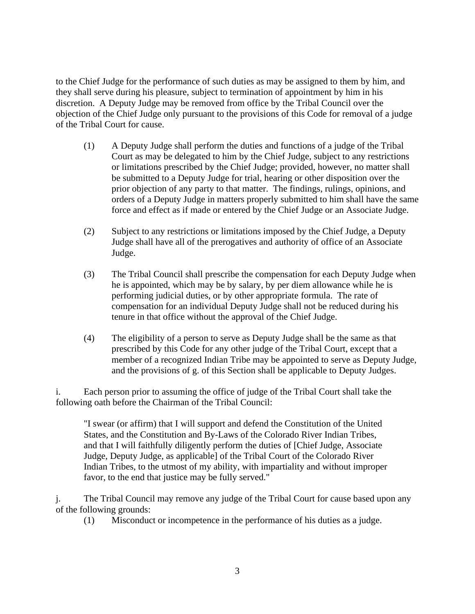to the Chief Judge for the performance of such duties as may be assigned to them by him, and they shall serve during his pleasure, subject to termination of appointment by him in his discretion. A Deputy Judge may be removed from office by the Tribal Council over the objection of the Chief Judge only pursuant to the provisions of this Code for removal of a judge of the Tribal Court for cause.

- (1) A Deputy Judge shall perform the duties and functions of a judge of the Tribal Court as may be delegated to him by the Chief Judge, subject to any restrictions or limitations prescribed by the Chief Judge; provided, however, no matter shall be submitted to a Deputy Judge for trial, hearing or other disposition over the prior objection of any party to that matter. The findings, rulings, opinions, and orders of a Deputy Judge in matters properly submitted to him shall have the same force and effect as if made or entered by the Chief Judge or an Associate Judge.
- (2) Subject to any restrictions or limitations imposed by the Chief Judge, a Deputy Judge shall have all of the prerogatives and authority of office of an Associate Judge.
- (3) The Tribal Council shall prescribe the compensation for each Deputy Judge when he is appointed, which may be by salary, by per diem allowance while he is performing judicial duties, or by other appropriate formula. The rate of compensation for an individual Deputy Judge shall not be reduced during his tenure in that office without the approval of the Chief Judge.
- (4) The eligibility of a person to serve as Deputy Judge shall be the same as that prescribed by this Code for any other judge of the Tribal Court, except that a member of a recognized Indian Tribe may be appointed to serve as Deputy Judge, and the provisions of g. of this Section shall be applicable to Deputy Judges.

i. Each person prior to assuming the office of judge of the Tribal Court shall take the following oath before the Chairman of the Tribal Council:

"I swear (or affirm) that I will support and defend the Constitution of the United States, and the Constitution and By-Laws of the Colorado River Indian Tribes, and that I will faithfully diligently perform the duties of [Chief Judge, Associate Judge, Deputy Judge, as applicable] of the Tribal Court of the Colorado River Indian Tribes, to the utmost of my ability, with impartiality and without improper favor, to the end that justice may be fully served."

j. The Tribal Council may remove any judge of the Tribal Court for cause based upon any of the following grounds:

(1) Misconduct or incompetence in the performance of his duties as a judge.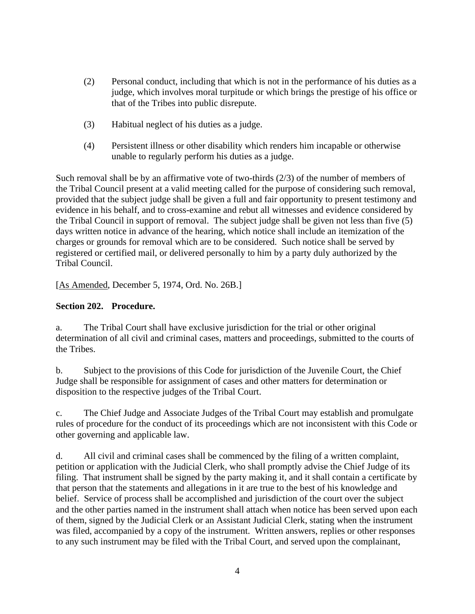- (2) Personal conduct, including that which is not in the performance of his duties as a judge, which involves moral turpitude or which brings the prestige of his office or that of the Tribes into public disrepute.
- (3) Habitual neglect of his duties as a judge.
- (4) Persistent illness or other disability which renders him incapable or otherwise unable to regularly perform his duties as a judge.

Such removal shall be by an affirmative vote of two-thirds  $(2/3)$  of the number of members of the Tribal Council present at a valid meeting called for the purpose of considering such removal, provided that the subject judge shall be given a full and fair opportunity to present testimony and evidence in his behalf, and to cross-examine and rebut all witnesses and evidence considered by the Tribal Council in support of removal. The subject judge shall be given not less than five (5) days written notice in advance of the hearing, which notice shall include an itemization of the charges or grounds for removal which are to be considered. Such notice shall be served by registered or certified mail, or delivered personally to him by a party duly authorized by the Tribal Council.

[As Amended, December 5, 1974, Ord. No. 26B.]

## **Section 202. Procedure.**

a. The Tribal Court shall have exclusive jurisdiction for the trial or other original determination of all civil and criminal cases, matters and proceedings, submitted to the courts of the Tribes.

b. Subject to the provisions of this Code for jurisdiction of the Juvenile Court, the Chief Judge shall be responsible for assignment of cases and other matters for determination or disposition to the respective judges of the Tribal Court.

c. The Chief Judge and Associate Judges of the Tribal Court may establish and promulgate rules of procedure for the conduct of its proceedings which are not inconsistent with this Code or other governing and applicable law.

d. All civil and criminal cases shall be commenced by the filing of a written complaint, petition or application with the Judicial Clerk, who shall promptly advise the Chief Judge of its filing. That instrument shall be signed by the party making it, and it shall contain a certificate by that person that the statements and allegations in it are true to the best of his knowledge and belief. Service of process shall be accomplished and jurisdiction of the court over the subject and the other parties named in the instrument shall attach when notice has been served upon each of them, signed by the Judicial Clerk or an Assistant Judicial Clerk, stating when the instrument was filed, accompanied by a copy of the instrument. Written answers, replies or other responses to any such instrument may be filed with the Tribal Court, and served upon the complainant,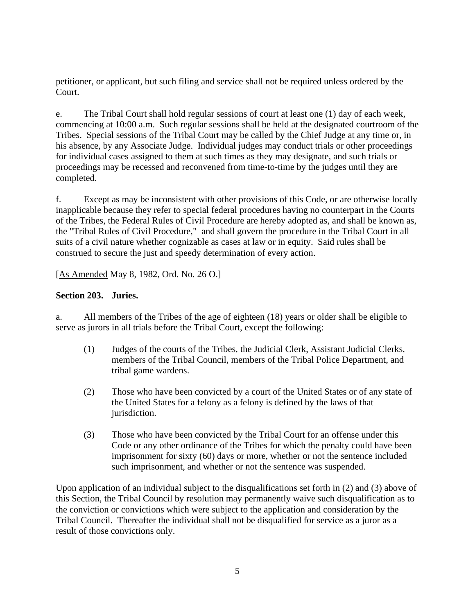petitioner, or applicant, but such filing and service shall not be required unless ordered by the Court.

e. The Tribal Court shall hold regular sessions of court at least one (1) day of each week, commencing at 10:00 a.m. Such regular sessions shall be held at the designated courtroom of the Tribes. Special sessions of the Tribal Court may be called by the Chief Judge at any time or, in his absence, by any Associate Judge. Individual judges may conduct trials or other proceedings for individual cases assigned to them at such times as they may designate, and such trials or proceedings may be recessed and reconvened from time-to-time by the judges until they are completed.

f. Except as may be inconsistent with other provisions of this Code, or are otherwise locally inapplicable because they refer to special federal procedures having no counterpart in the Courts of the Tribes, the Federal Rules of Civil Procedure are hereby adopted as, and shall be known as, the "Tribal Rules of Civil Procedure," and shall govern the procedure in the Tribal Court in all suits of a civil nature whether cognizable as cases at law or in equity. Said rules shall be construed to secure the just and speedy determination of every action.

[As Amended May 8, 1982, Ord. No. 26 O.]

#### **Section 203. Juries.**

a. All members of the Tribes of the age of eighteen (18) years or older shall be eligible to serve as jurors in all trials before the Tribal Court, except the following:

- (1) Judges of the courts of the Tribes, the Judicial Clerk, Assistant Judicial Clerks, members of the Tribal Council, members of the Tribal Police Department, and tribal game wardens.
- (2) Those who have been convicted by a court of the United States or of any state of the United States for a felony as a felony is defined by the laws of that jurisdiction.
- (3) Those who have been convicted by the Tribal Court for an offense under this Code or any other ordinance of the Tribes for which the penalty could have been imprisonment for sixty (60) days or more, whether or not the sentence included such imprisonment, and whether or not the sentence was suspended.

Upon application of an individual subject to the disqualifications set forth in (2) and (3) above of this Section, the Tribal Council by resolution may permanently waive such disqualification as to the conviction or convictions which were subject to the application and consideration by the Tribal Council. Thereafter the individual shall not be disqualified for service as a juror as a result of those convictions only.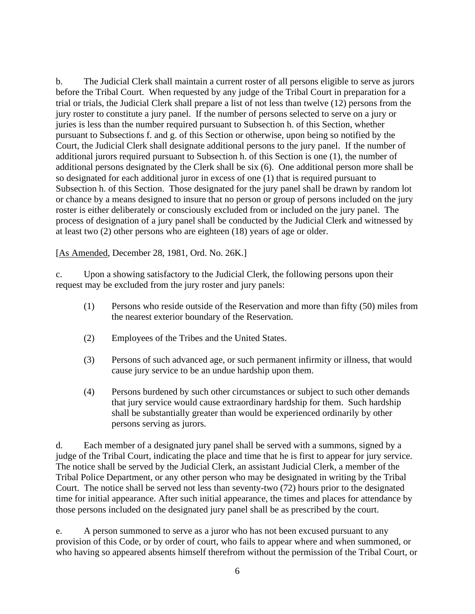b. The Judicial Clerk shall maintain a current roster of all persons eligible to serve as jurors before the Tribal Court. When requested by any judge of the Tribal Court in preparation for a trial or trials, the Judicial Clerk shall prepare a list of not less than twelve (12) persons from the jury roster to constitute a jury panel. If the number of persons selected to serve on a jury or juries is less than the number required pursuant to Subsection h. of this Section, whether pursuant to Subsections f. and g. of this Section or otherwise, upon being so notified by the Court, the Judicial Clerk shall designate additional persons to the jury panel. If the number of additional jurors required pursuant to Subsection h. of this Section is one (1), the number of additional persons designated by the Clerk shall be six (6). One additional person more shall be so designated for each additional juror in excess of one (1) that is required pursuant to Subsection h. of this Section. Those designated for the jury panel shall be drawn by random lot or chance by a means designed to insure that no person or group of persons included on the jury roster is either deliberately or consciously excluded from or included on the jury panel. The process of designation of a jury panel shall be conducted by the Judicial Clerk and witnessed by at least two (2) other persons who are eighteen (18) years of age or older.

[As Amended, December 28, 1981, Ord. No. 26K.]

c. Upon a showing satisfactory to the Judicial Clerk, the following persons upon their request may be excluded from the jury roster and jury panels:

- (1) Persons who reside outside of the Reservation and more than fifty (50) miles from the nearest exterior boundary of the Reservation.
- (2) Employees of the Tribes and the United States.
- (3) Persons of such advanced age, or such permanent infirmity or illness, that would cause jury service to be an undue hardship upon them.
- (4) Persons burdened by such other circumstances or subject to such other demands that jury service would cause extraordinary hardship for them. Such hardship shall be substantially greater than would be experienced ordinarily by other persons serving as jurors.

d. Each member of a designated jury panel shall be served with a summons, signed by a judge of the Tribal Court, indicating the place and time that he is first to appear for jury service. The notice shall be served by the Judicial Clerk, an assistant Judicial Clerk, a member of the Tribal Police Department, or any other person who may be designated in writing by the Tribal Court. The notice shall be served not less than seventy-two (72) hours prior to the designated time for initial appearance. After such initial appearance, the times and places for attendance by those persons included on the designated jury panel shall be as prescribed by the court.

e. A person summoned to serve as a juror who has not been excused pursuant to any provision of this Code, or by order of court, who fails to appear where and when summoned, or who having so appeared absents himself therefrom without the permission of the Tribal Court, or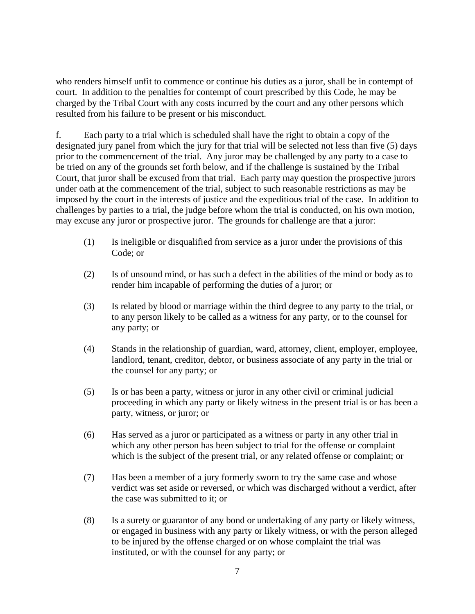who renders himself unfit to commence or continue his duties as a juror, shall be in contempt of court. In addition to the penalties for contempt of court prescribed by this Code, he may be charged by the Tribal Court with any costs incurred by the court and any other persons which resulted from his failure to be present or his misconduct.

f. Each party to a trial which is scheduled shall have the right to obtain a copy of the designated jury panel from which the jury for that trial will be selected not less than five (5) days prior to the commencement of the trial. Any juror may be challenged by any party to a case to be tried on any of the grounds set forth below, and if the challenge is sustained by the Tribal Court, that juror shall be excused from that trial. Each party may question the prospective jurors under oath at the commencement of the trial, subject to such reasonable restrictions as may be imposed by the court in the interests of justice and the expeditious trial of the case. In addition to challenges by parties to a trial, the judge before whom the trial is conducted, on his own motion, may excuse any juror or prospective juror. The grounds for challenge are that a juror:

- (1) Is ineligible or disqualified from service as a juror under the provisions of this Code; or
- (2) Is of unsound mind, or has such a defect in the abilities of the mind or body as to render him incapable of performing the duties of a juror; or
- (3) Is related by blood or marriage within the third degree to any party to the trial, or to any person likely to be called as a witness for any party, or to the counsel for any party; or
- (4) Stands in the relationship of guardian, ward, attorney, client, employer, employee, landlord, tenant, creditor, debtor, or business associate of any party in the trial or the counsel for any party; or
- (5) Is or has been a party, witness or juror in any other civil or criminal judicial proceeding in which any party or likely witness in the present trial is or has been a party, witness, or juror; or
- (6) Has served as a juror or participated as a witness or party in any other trial in which any other person has been subject to trial for the offense or complaint which is the subject of the present trial, or any related offense or complaint; or
- (7) Has been a member of a jury formerly sworn to try the same case and whose verdict was set aside or reversed, or which was discharged without a verdict, after the case was submitted to it; or
- (8) Is a surety or guarantor of any bond or undertaking of any party or likely witness, or engaged in business with any party or likely witness, or with the person alleged to be injured by the offense charged or on whose complaint the trial was instituted, or with the counsel for any party; or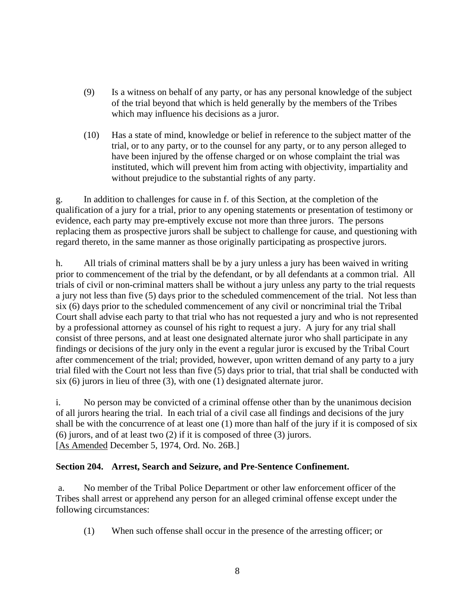- (9) Is a witness on behalf of any party, or has any personal knowledge of the subject of the trial beyond that which is held generally by the members of the Tribes which may influence his decisions as a juror.
- (10) Has a state of mind, knowledge or belief in reference to the subject matter of the trial, or to any party, or to the counsel for any party, or to any person alleged to have been injured by the offense charged or on whose complaint the trial was instituted, which will prevent him from acting with objectivity, impartiality and without prejudice to the substantial rights of any party.

g. In addition to challenges for cause in f. of this Section, at the completion of the qualification of a jury for a trial, prior to any opening statements or presentation of testimony or evidence, each party may pre-emptively excuse not more than three jurors. The persons replacing them as prospective jurors shall be subject to challenge for cause, and questioning with regard thereto, in the same manner as those originally participating as prospective jurors.

h. All trials of criminal matters shall be by a jury unless a jury has been waived in writing prior to commencement of the trial by the defendant, or by all defendants at a common trial. All trials of civil or non-criminal matters shall be without a jury unless any party to the trial requests a jury not less than five (5) days prior to the scheduled commencement of the trial. Not less than six (6) days prior to the scheduled commencement of any civil or noncriminal trial the Tribal Court shall advise each party to that trial who has not requested a jury and who is not represented by a professional attorney as counsel of his right to request a jury. A jury for any trial shall consist of three persons, and at least one designated alternate juror who shall participate in any findings or decisions of the jury only in the event a regular juror is excused by the Tribal Court after commencement of the trial; provided, however, upon written demand of any party to a jury trial filed with the Court not less than five (5) days prior to trial, that trial shall be conducted with six (6) jurors in lieu of three (3), with one (1) designated alternate juror.

i. No person may be convicted of a criminal offense other than by the unanimous decision of all jurors hearing the trial. In each trial of a civil case all findings and decisions of the jury shall be with the concurrence of at least one (1) more than half of the jury if it is composed of six (6) jurors, and of at least two (2) if it is composed of three (3) jurors. [As Amended December 5, 1974, Ord. No. 26B.]

## **Section 204. Arrest, Search and Seizure, and Pre-Sentence Confinement.**

a. No member of the Tribal Police Department or other law enforcement officer of the Tribes shall arrest or apprehend any person for an alleged criminal offense except under the following circumstances:

(1) When such offense shall occur in the presence of the arresting officer; or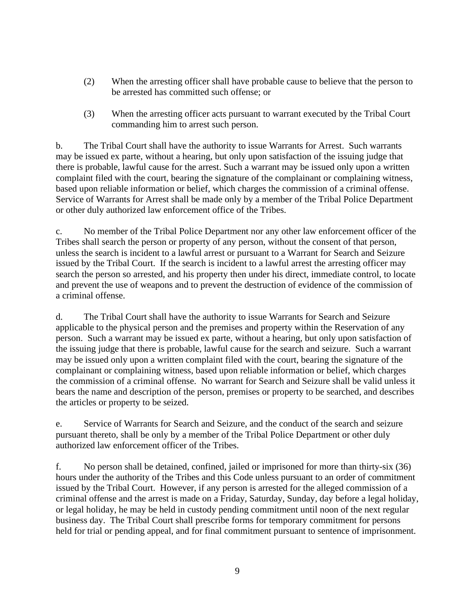- (2) When the arresting officer shall have probable cause to believe that the person to be arrested has committed such offense; or
- (3) When the arresting officer acts pursuant to warrant executed by the Tribal Court commanding him to arrest such person.

b. The Tribal Court shall have the authority to issue Warrants for Arrest. Such warrants may be issued ex parte, without a hearing, but only upon satisfaction of the issuing judge that there is probable, lawful cause for the arrest. Such a warrant may be issued only upon a written complaint filed with the court, bearing the signature of the complainant or complaining witness, based upon reliable information or belief, which charges the commission of a criminal offense. Service of Warrants for Arrest shall be made only by a member of the Tribal Police Department or other duly authorized law enforcement office of the Tribes.

c. No member of the Tribal Police Department nor any other law enforcement officer of the Tribes shall search the person or property of any person, without the consent of that person, unless the search is incident to a lawful arrest or pursuant to a Warrant for Search and Seizure issued by the Tribal Court. If the search is incident to a lawful arrest the arresting officer may search the person so arrested, and his property then under his direct, immediate control, to locate and prevent the use of weapons and to prevent the destruction of evidence of the commission of a criminal offense.

d. The Tribal Court shall have the authority to issue Warrants for Search and Seizure applicable to the physical person and the premises and property within the Reservation of any person. Such a warrant may be issued ex parte, without a hearing, but only upon satisfaction of the issuing judge that there is probable, lawful cause for the search and seizure. Such a warrant may be issued only upon a written complaint filed with the court, bearing the signature of the complainant or complaining witness, based upon reliable information or belief, which charges the commission of a criminal offense. No warrant for Search and Seizure shall be valid unless it bears the name and description of the person, premises or property to be searched, and describes the articles or property to be seized.

e. Service of Warrants for Search and Seizure, and the conduct of the search and seizure pursuant thereto, shall be only by a member of the Tribal Police Department or other duly authorized law enforcement officer of the Tribes.

f. No person shall be detained, confined, jailed or imprisoned for more than thirty-six (36) hours under the authority of the Tribes and this Code unless pursuant to an order of commitment issued by the Tribal Court. However, if any person is arrested for the alleged commission of a criminal offense and the arrest is made on a Friday, Saturday, Sunday, day before a legal holiday, or legal holiday, he may be held in custody pending commitment until noon of the next regular business day. The Tribal Court shall prescribe forms for temporary commitment for persons held for trial or pending appeal, and for final commitment pursuant to sentence of imprisonment.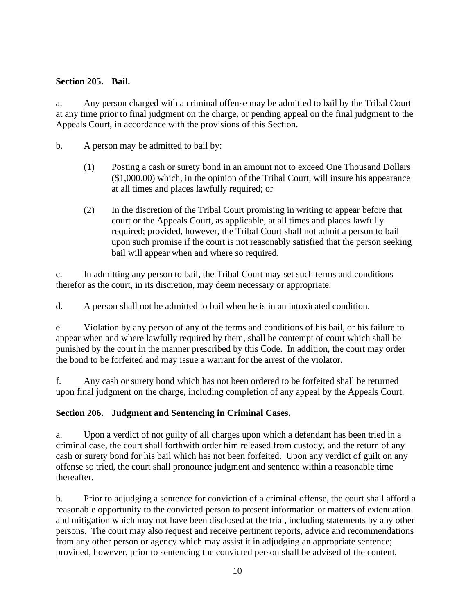#### **Section 205. Bail.**

a. Any person charged with a criminal offense may be admitted to bail by the Tribal Court at any time prior to final judgment on the charge, or pending appeal on the final judgment to the Appeals Court, in accordance with the provisions of this Section.

b. A person may be admitted to bail by:

- (1) Posting a cash or surety bond in an amount not to exceed One Thousand Dollars (\$1,000.00) which, in the opinion of the Tribal Court, will insure his appearance at all times and places lawfully required; or
- (2) In the discretion of the Tribal Court promising in writing to appear before that court or the Appeals Court, as applicable, at all times and places lawfully required; provided, however, the Tribal Court shall not admit a person to bail upon such promise if the court is not reasonably satisfied that the person seeking bail will appear when and where so required.

c. In admitting any person to bail, the Tribal Court may set such terms and conditions therefor as the court, in its discretion, may deem necessary or appropriate.

d. A person shall not be admitted to bail when he is in an intoxicated condition.

e. Violation by any person of any of the terms and conditions of his bail, or his failure to appear when and where lawfully required by them, shall be contempt of court which shall be punished by the court in the manner prescribed by this Code. In addition, the court may order the bond to be forfeited and may issue a warrant for the arrest of the violator.

f. Any cash or surety bond which has not been ordered to be forfeited shall be returned upon final judgment on the charge, including completion of any appeal by the Appeals Court.

## **Section 206. Judgment and Sentencing in Criminal Cases.**

a. Upon a verdict of not guilty of all charges upon which a defendant has been tried in a criminal case, the court shall forthwith order him released from custody, and the return of any cash or surety bond for his bail which has not been forfeited. Upon any verdict of guilt on any offense so tried, the court shall pronounce judgment and sentence within a reasonable time thereafter.

b. Prior to adjudging a sentence for conviction of a criminal offense, the court shall afford a reasonable opportunity to the convicted person to present information or matters of extenuation and mitigation which may not have been disclosed at the trial, including statements by any other persons. The court may also request and receive pertinent reports, advice and recommendations from any other person or agency which may assist it in adjudging an appropriate sentence; provided, however, prior to sentencing the convicted person shall be advised of the content,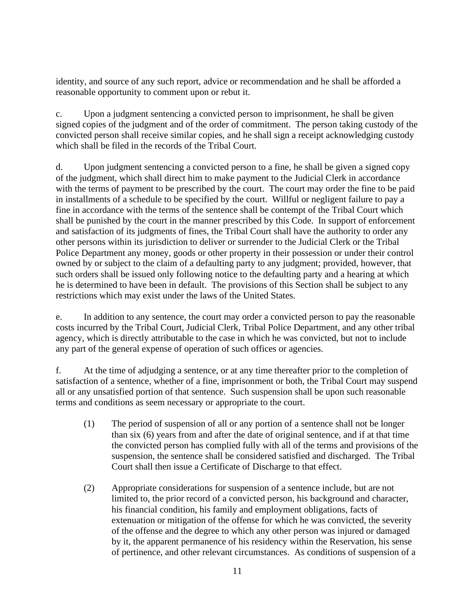identity, and source of any such report, advice or recommendation and he shall be afforded a reasonable opportunity to comment upon or rebut it.

c. Upon a judgment sentencing a convicted person to imprisonment, he shall be given signed copies of the judgment and of the order of commitment. The person taking custody of the convicted person shall receive similar copies, and he shall sign a receipt acknowledging custody which shall be filed in the records of the Tribal Court.

d. Upon judgment sentencing a convicted person to a fine, he shall be given a signed copy of the judgment, which shall direct him to make payment to the Judicial Clerk in accordance with the terms of payment to be prescribed by the court. The court may order the fine to be paid in installments of a schedule to be specified by the court. Willful or negligent failure to pay a fine in accordance with the terms of the sentence shall be contempt of the Tribal Court which shall be punished by the court in the manner prescribed by this Code. In support of enforcement and satisfaction of its judgments of fines, the Tribal Court shall have the authority to order any other persons within its jurisdiction to deliver or surrender to the Judicial Clerk or the Tribal Police Department any money, goods or other property in their possession or under their control owned by or subject to the claim of a defaulting party to any judgment; provided, however, that such orders shall be issued only following notice to the defaulting party and a hearing at which he is determined to have been in default. The provisions of this Section shall be subject to any restrictions which may exist under the laws of the United States.

e. In addition to any sentence, the court may order a convicted person to pay the reasonable costs incurred by the Tribal Court, Judicial Clerk, Tribal Police Department, and any other tribal agency, which is directly attributable to the case in which he was convicted, but not to include any part of the general expense of operation of such offices or agencies.

f. At the time of adjudging a sentence, or at any time thereafter prior to the completion of satisfaction of a sentence, whether of a fine, imprisonment or both, the Tribal Court may suspend all or any unsatisfied portion of that sentence. Such suspension shall be upon such reasonable terms and conditions as seem necessary or appropriate to the court.

- (1) The period of suspension of all or any portion of a sentence shall not be longer than six (6) years from and after the date of original sentence, and if at that time the convicted person has complied fully with all of the terms and provisions of the suspension, the sentence shall be considered satisfied and discharged. The Tribal Court shall then issue a Certificate of Discharge to that effect.
- (2) Appropriate considerations for suspension of a sentence include, but are not limited to, the prior record of a convicted person, his background and character, his financial condition, his family and employment obligations, facts of extenuation or mitigation of the offense for which he was convicted, the severity of the offense and the degree to which any other person was injured or damaged by it, the apparent permanence of his residency within the Reservation, his sense of pertinence, and other relevant circumstances. As conditions of suspension of a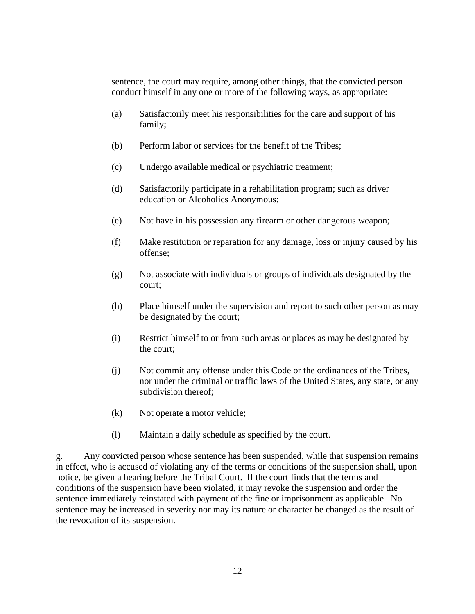sentence, the court may require, among other things, that the convicted person conduct himself in any one or more of the following ways, as appropriate:

- (a) Satisfactorily meet his responsibilities for the care and support of his family;
- (b) Perform labor or services for the benefit of the Tribes;
- (c) Undergo available medical or psychiatric treatment;
- (d) Satisfactorily participate in a rehabilitation program; such as driver education or Alcoholics Anonymous;
- (e) Not have in his possession any firearm or other dangerous weapon;
- (f) Make restitution or reparation for any damage, loss or injury caused by his offense;
- (g) Not associate with individuals or groups of individuals designated by the court;
- (h) Place himself under the supervision and report to such other person as may be designated by the court;
- (i) Restrict himself to or from such areas or places as may be designated by the court;
- (j) Not commit any offense under this Code or the ordinances of the Tribes, nor under the criminal or traffic laws of the United States, any state, or any subdivision thereof;
- (k) Not operate a motor vehicle;
- (l) Maintain a daily schedule as specified by the court.

g. Any convicted person whose sentence has been suspended, while that suspension remains in effect, who is accused of violating any of the terms or conditions of the suspension shall, upon notice, be given a hearing before the Tribal Court. If the court finds that the terms and conditions of the suspension have been violated, it may revoke the suspension and order the sentence immediately reinstated with payment of the fine or imprisonment as applicable. No sentence may be increased in severity nor may its nature or character be changed as the result of the revocation of its suspension.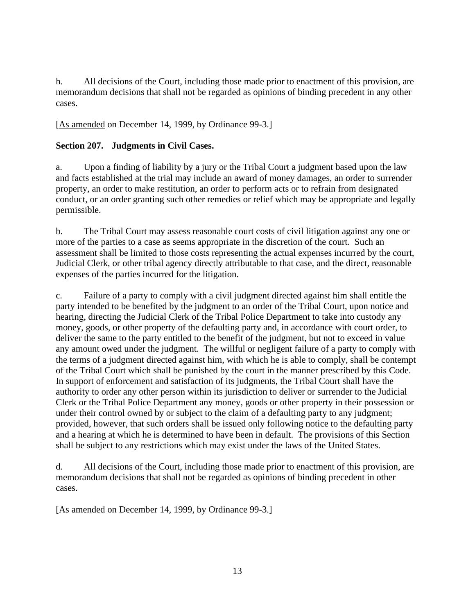h. All decisions of the Court, including those made prior to enactment of this provision, are memorandum decisions that shall not be regarded as opinions of binding precedent in any other cases.

[As amended on December 14, 1999, by Ordinance 99-3.]

# **Section 207. Judgments in Civil Cases.**

a. Upon a finding of liability by a jury or the Tribal Court a judgment based upon the law and facts established at the trial may include an award of money damages, an order to surrender property, an order to make restitution, an order to perform acts or to refrain from designated conduct, or an order granting such other remedies or relief which may be appropriate and legally permissible.

b. The Tribal Court may assess reasonable court costs of civil litigation against any one or more of the parties to a case as seems appropriate in the discretion of the court. Such an assessment shall be limited to those costs representing the actual expenses incurred by the court, Judicial Clerk, or other tribal agency directly attributable to that case, and the direct, reasonable expenses of the parties incurred for the litigation.

c. Failure of a party to comply with a civil judgment directed against him shall entitle the party intended to be benefited by the judgment to an order of the Tribal Court, upon notice and hearing, directing the Judicial Clerk of the Tribal Police Department to take into custody any money, goods, or other property of the defaulting party and, in accordance with court order, to deliver the same to the party entitled to the benefit of the judgment, but not to exceed in value any amount owed under the judgment. The willful or negligent failure of a party to comply with the terms of a judgment directed against him, with which he is able to comply, shall be contempt of the Tribal Court which shall be punished by the court in the manner prescribed by this Code. In support of enforcement and satisfaction of its judgments, the Tribal Court shall have the authority to order any other person within its jurisdiction to deliver or surrender to the Judicial Clerk or the Tribal Police Department any money, goods or other property in their possession or under their control owned by or subject to the claim of a defaulting party to any judgment; provided, however, that such orders shall be issued only following notice to the defaulting party and a hearing at which he is determined to have been in default. The provisions of this Section shall be subject to any restrictions which may exist under the laws of the United States.

d. All decisions of the Court, including those made prior to enactment of this provision, are memorandum decisions that shall not be regarded as opinions of binding precedent in other cases.

[As amended on December 14, 1999, by Ordinance 99-3.]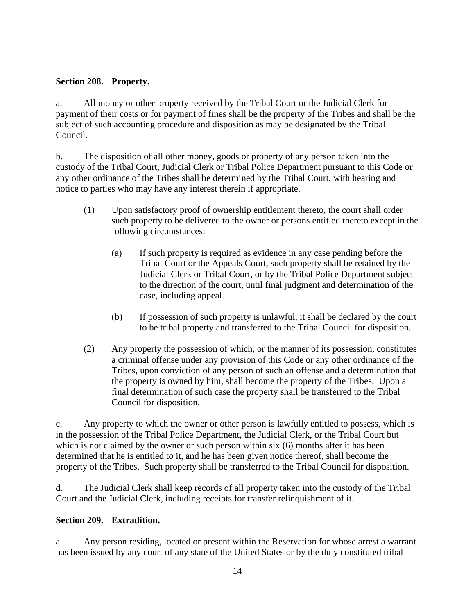## **Section 208. Property.**

a. All money or other property received by the Tribal Court or the Judicial Clerk for payment of their costs or for payment of fines shall be the property of the Tribes and shall be the subject of such accounting procedure and disposition as may be designated by the Tribal Council.

b. The disposition of all other money, goods or property of any person taken into the custody of the Tribal Court, Judicial Clerk or Tribal Police Department pursuant to this Code or any other ordinance of the Tribes shall be determined by the Tribal Court, with hearing and notice to parties who may have any interest therein if appropriate.

- (1) Upon satisfactory proof of ownership entitlement thereto, the court shall order such property to be delivered to the owner or persons entitled thereto except in the following circumstances:
	- (a) If such property is required as evidence in any case pending before the Tribal Court or the Appeals Court, such property shall be retained by the Judicial Clerk or Tribal Court, or by the Tribal Police Department subject to the direction of the court, until final judgment and determination of the case, including appeal.
	- (b) If possession of such property is unlawful, it shall be declared by the court to be tribal property and transferred to the Tribal Council for disposition.
- (2) Any property the possession of which, or the manner of its possession, constitutes a criminal offense under any provision of this Code or any other ordinance of the Tribes, upon conviction of any person of such an offense and a determination that the property is owned by him, shall become the property of the Tribes. Upon a final determination of such case the property shall be transferred to the Tribal Council for disposition.

c. Any property to which the owner or other person is lawfully entitled to possess, which is in the possession of the Tribal Police Department, the Judicial Clerk, or the Tribal Court but which is not claimed by the owner or such person within six (6) months after it has been determined that he is entitled to it, and he has been given notice thereof, shall become the property of the Tribes. Such property shall be transferred to the Tribal Council for disposition.

d. The Judicial Clerk shall keep records of all property taken into the custody of the Tribal Court and the Judicial Clerk, including receipts for transfer relinquishment of it.

## **Section 209. Extradition.**

a. Any person residing, located or present within the Reservation for whose arrest a warrant has been issued by any court of any state of the United States or by the duly constituted tribal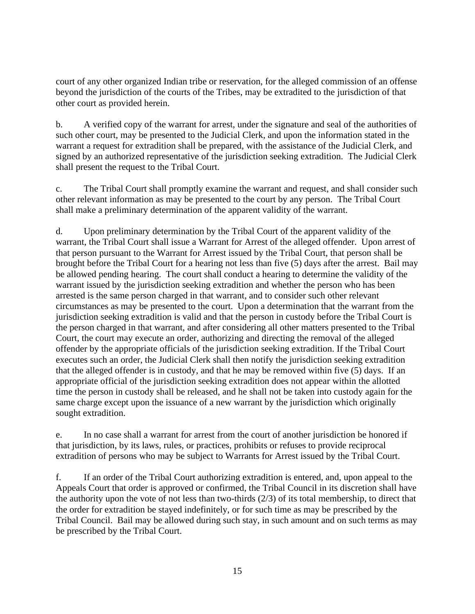court of any other organized Indian tribe or reservation, for the alleged commission of an offense beyond the jurisdiction of the courts of the Tribes, may be extradited to the jurisdiction of that other court as provided herein.

b. A verified copy of the warrant for arrest, under the signature and seal of the authorities of such other court, may be presented to the Judicial Clerk, and upon the information stated in the warrant a request for extradition shall be prepared, with the assistance of the Judicial Clerk, and signed by an authorized representative of the jurisdiction seeking extradition. The Judicial Clerk shall present the request to the Tribal Court.

c. The Tribal Court shall promptly examine the warrant and request, and shall consider such other relevant information as may be presented to the court by any person. The Tribal Court shall make a preliminary determination of the apparent validity of the warrant.

d. Upon preliminary determination by the Tribal Court of the apparent validity of the warrant, the Tribal Court shall issue a Warrant for Arrest of the alleged offender. Upon arrest of that person pursuant to the Warrant for Arrest issued by the Tribal Court, that person shall be brought before the Tribal Court for a hearing not less than five (5) days after the arrest. Bail may be allowed pending hearing. The court shall conduct a hearing to determine the validity of the warrant issued by the jurisdiction seeking extradition and whether the person who has been arrested is the same person charged in that warrant, and to consider such other relevant circumstances as may be presented to the court. Upon a determination that the warrant from the jurisdiction seeking extradition is valid and that the person in custody before the Tribal Court is the person charged in that warrant, and after considering all other matters presented to the Tribal Court, the court may execute an order, authorizing and directing the removal of the alleged offender by the appropriate officials of the jurisdiction seeking extradition. If the Tribal Court executes such an order, the Judicial Clerk shall then notify the jurisdiction seeking extradition that the alleged offender is in custody, and that he may be removed within five (5) days. If an appropriate official of the jurisdiction seeking extradition does not appear within the allotted time the person in custody shall be released, and he shall not be taken into custody again for the same charge except upon the issuance of a new warrant by the jurisdiction which originally sought extradition.

e. In no case shall a warrant for arrest from the court of another jurisdiction be honored if that jurisdiction, by its laws, rules, or practices, prohibits or refuses to provide reciprocal extradition of persons who may be subject to Warrants for Arrest issued by the Tribal Court.

f. If an order of the Tribal Court authorizing extradition is entered, and, upon appeal to the Appeals Court that order is approved or confirmed, the Tribal Council in its discretion shall have the authority upon the vote of not less than two-thirds (2/3) of its total membership, to direct that the order for extradition be stayed indefinitely, or for such time as may be prescribed by the Tribal Council. Bail may be allowed during such stay, in such amount and on such terms as may be prescribed by the Tribal Court.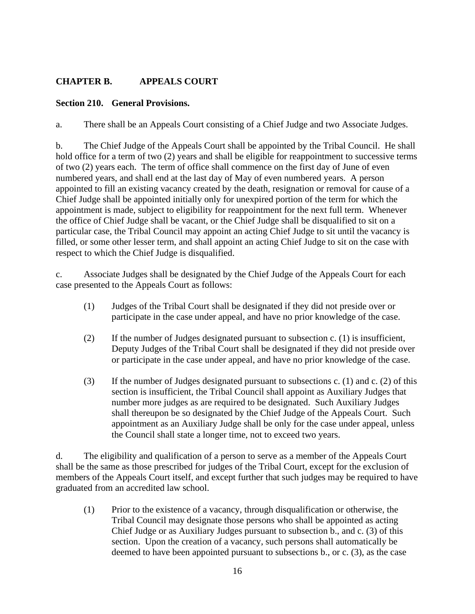# **CHAPTER B. APPEALS COURT**

## **Section 210. General Provisions.**

a. There shall be an Appeals Court consisting of a Chief Judge and two Associate Judges.

b. The Chief Judge of the Appeals Court shall be appointed by the Tribal Council. He shall hold office for a term of two (2) years and shall be eligible for reappointment to successive terms of two (2) years each. The term of office shall commence on the first day of June of even numbered years, and shall end at the last day of May of even numbered years. A person appointed to fill an existing vacancy created by the death, resignation or removal for cause of a Chief Judge shall be appointed initially only for unexpired portion of the term for which the appointment is made, subject to eligibility for reappointment for the next full term. Whenever the office of Chief Judge shall be vacant, or the Chief Judge shall be disqualified to sit on a particular case, the Tribal Council may appoint an acting Chief Judge to sit until the vacancy is filled, or some other lesser term, and shall appoint an acting Chief Judge to sit on the case with respect to which the Chief Judge is disqualified.

c. Associate Judges shall be designated by the Chief Judge of the Appeals Court for each case presented to the Appeals Court as follows:

- (1) Judges of the Tribal Court shall be designated if they did not preside over or participate in the case under appeal, and have no prior knowledge of the case.
- (2) If the number of Judges designated pursuant to subsection c. (1) is insufficient, Deputy Judges of the Tribal Court shall be designated if they did not preside over or participate in the case under appeal, and have no prior knowledge of the case.
- (3) If the number of Judges designated pursuant to subsections c. (1) and c. (2) of this section is insufficient, the Tribal Council shall appoint as Auxiliary Judges that number more judges as are required to be designated. Such Auxiliary Judges shall thereupon be so designated by the Chief Judge of the Appeals Court. Such appointment as an Auxiliary Judge shall be only for the case under appeal, unless the Council shall state a longer time, not to exceed two years.

d. The eligibility and qualification of a person to serve as a member of the Appeals Court shall be the same as those prescribed for judges of the Tribal Court, except for the exclusion of members of the Appeals Court itself, and except further that such judges may be required to have graduated from an accredited law school.

(1) Prior to the existence of a vacancy, through disqualification or otherwise, the Tribal Council may designate those persons who shall be appointed as acting Chief Judge or as Auxiliary Judges pursuant to subsection b., and c. (3) of this section. Upon the creation of a vacancy, such persons shall automatically be deemed to have been appointed pursuant to subsections b., or c. (3), as the case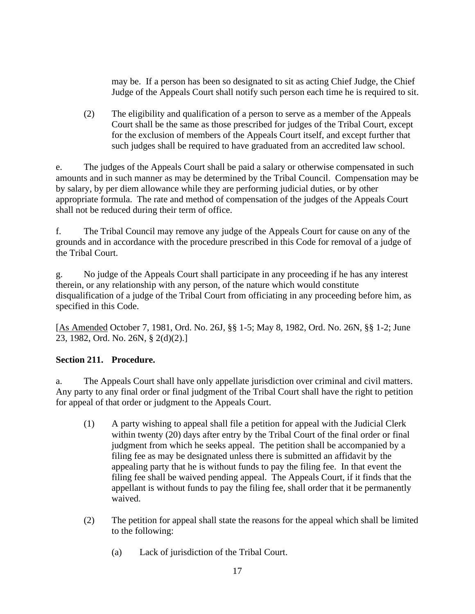may be. If a person has been so designated to sit as acting Chief Judge, the Chief Judge of the Appeals Court shall notify such person each time he is required to sit.

(2) The eligibility and qualification of a person to serve as a member of the Appeals Court shall be the same as those prescribed for judges of the Tribal Court, except for the exclusion of members of the Appeals Court itself, and except further that such judges shall be required to have graduated from an accredited law school.

e. The judges of the Appeals Court shall be paid a salary or otherwise compensated in such amounts and in such manner as may be determined by the Tribal Council. Compensation may be by salary, by per diem allowance while they are performing judicial duties, or by other appropriate formula. The rate and method of compensation of the judges of the Appeals Court shall not be reduced during their term of office.

f. The Tribal Council may remove any judge of the Appeals Court for cause on any of the grounds and in accordance with the procedure prescribed in this Code for removal of a judge of the Tribal Court.

g. No judge of the Appeals Court shall participate in any proceeding if he has any interest therein, or any relationship with any person, of the nature which would constitute disqualification of a judge of the Tribal Court from officiating in any proceeding before him, as specified in this Code.

[As Amended October 7, 1981, Ord. No. 26J, §§ 1-5; May 8, 1982, Ord. No. 26N, §§ 1-2; June 23, 1982, Ord. No. 26N, § 2(d)(2).]

## **Section 211. Procedure.**

a. The Appeals Court shall have only appellate jurisdiction over criminal and civil matters. Any party to any final order or final judgment of the Tribal Court shall have the right to petition for appeal of that order or judgment to the Appeals Court.

- (1) A party wishing to appeal shall file a petition for appeal with the Judicial Clerk within twenty (20) days after entry by the Tribal Court of the final order or final judgment from which he seeks appeal. The petition shall be accompanied by a filing fee as may be designated unless there is submitted an affidavit by the appealing party that he is without funds to pay the filing fee. In that event the filing fee shall be waived pending appeal. The Appeals Court, if it finds that the appellant is without funds to pay the filing fee, shall order that it be permanently waived.
- (2) The petition for appeal shall state the reasons for the appeal which shall be limited to the following:
	- (a) Lack of jurisdiction of the Tribal Court.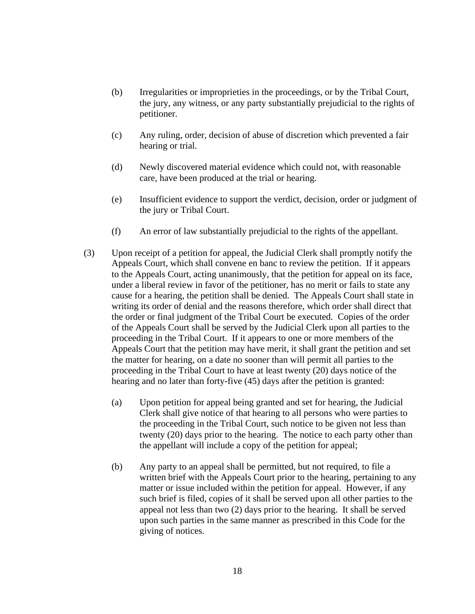- (b) Irregularities or improprieties in the proceedings, or by the Tribal Court, the jury, any witness, or any party substantially prejudicial to the rights of petitioner.
- (c) Any ruling, order, decision of abuse of discretion which prevented a fair hearing or trial.
- (d) Newly discovered material evidence which could not, with reasonable care, have been produced at the trial or hearing.
- (e) Insufficient evidence to support the verdict, decision, order or judgment of the jury or Tribal Court.
- (f) An error of law substantially prejudicial to the rights of the appellant.
- (3) Upon receipt of a petition for appeal, the Judicial Clerk shall promptly notify the Appeals Court, which shall convene en banc to review the petition. If it appears to the Appeals Court, acting unanimously, that the petition for appeal on its face, under a liberal review in favor of the petitioner, has no merit or fails to state any cause for a hearing, the petition shall be denied. The Appeals Court shall state in writing its order of denial and the reasons therefore, which order shall direct that the order or final judgment of the Tribal Court be executed. Copies of the order of the Appeals Court shall be served by the Judicial Clerk upon all parties to the proceeding in the Tribal Court. If it appears to one or more members of the Appeals Court that the petition may have merit, it shall grant the petition and set the matter for hearing, on a date no sooner than will permit all parties to the proceeding in the Tribal Court to have at least twenty (20) days notice of the hearing and no later than forty-five (45) days after the petition is granted:
	- (a) Upon petition for appeal being granted and set for hearing, the Judicial Clerk shall give notice of that hearing to all persons who were parties to the proceeding in the Tribal Court, such notice to be given not less than twenty (20) days prior to the hearing. The notice to each party other than the appellant will include a copy of the petition for appeal;
	- (b) Any party to an appeal shall be permitted, but not required, to file a written brief with the Appeals Court prior to the hearing, pertaining to any matter or issue included within the petition for appeal. However, if any such brief is filed, copies of it shall be served upon all other parties to the appeal not less than two (2) days prior to the hearing. It shall be served upon such parties in the same manner as prescribed in this Code for the giving of notices.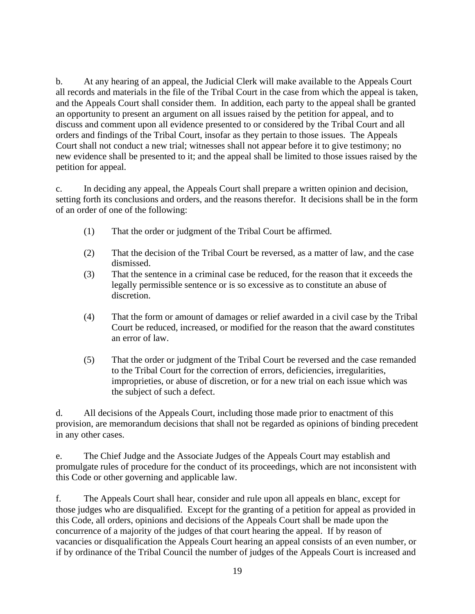b. At any hearing of an appeal, the Judicial Clerk will make available to the Appeals Court all records and materials in the file of the Tribal Court in the case from which the appeal is taken, and the Appeals Court shall consider them. In addition, each party to the appeal shall be granted an opportunity to present an argument on all issues raised by the petition for appeal, and to discuss and comment upon all evidence presented to or considered by the Tribal Court and all orders and findings of the Tribal Court, insofar as they pertain to those issues. The Appeals Court shall not conduct a new trial; witnesses shall not appear before it to give testimony; no new evidence shall be presented to it; and the appeal shall be limited to those issues raised by the petition for appeal.

c. In deciding any appeal, the Appeals Court shall prepare a written opinion and decision, setting forth its conclusions and orders, and the reasons therefor. It decisions shall be in the form of an order of one of the following:

- (1) That the order or judgment of the Tribal Court be affirmed.
- (2) That the decision of the Tribal Court be reversed, as a matter of law, and the case dismissed.
- (3) That the sentence in a criminal case be reduced, for the reason that it exceeds the legally permissible sentence or is so excessive as to constitute an abuse of discretion.
- (4) That the form or amount of damages or relief awarded in a civil case by the Tribal Court be reduced, increased, or modified for the reason that the award constitutes an error of law.
- (5) That the order or judgment of the Tribal Court be reversed and the case remanded to the Tribal Court for the correction of errors, deficiencies, irregularities, improprieties, or abuse of discretion, or for a new trial on each issue which was the subject of such a defect.

d. All decisions of the Appeals Court, including those made prior to enactment of this provision, are memorandum decisions that shall not be regarded as opinions of binding precedent in any other cases.

e. The Chief Judge and the Associate Judges of the Appeals Court may establish and promulgate rules of procedure for the conduct of its proceedings, which are not inconsistent with this Code or other governing and applicable law.

f. The Appeals Court shall hear, consider and rule upon all appeals en blanc, except for those judges who are disqualified. Except for the granting of a petition for appeal as provided in this Code, all orders, opinions and decisions of the Appeals Court shall be made upon the concurrence of a majority of the judges of that court hearing the appeal. If by reason of vacancies or disqualification the Appeals Court hearing an appeal consists of an even number, or if by ordinance of the Tribal Council the number of judges of the Appeals Court is increased and